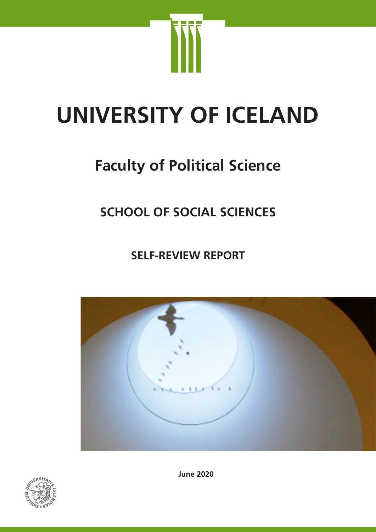

# **UNIVERSITY OF ICELAND**

# **Faculty of Political Science**

# **SCHOOL OF SOCIAL SCIENCES**

**SELF-REVIEW REPORT**





**June 2020**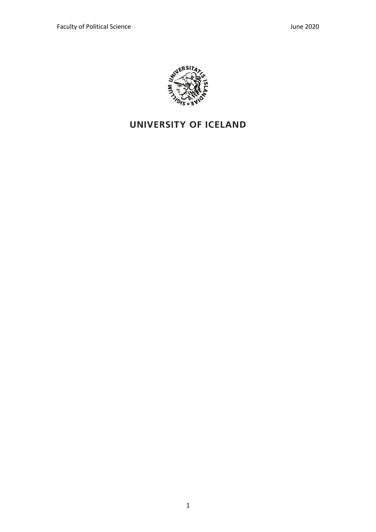

# UNIVERSITY OF ICELAND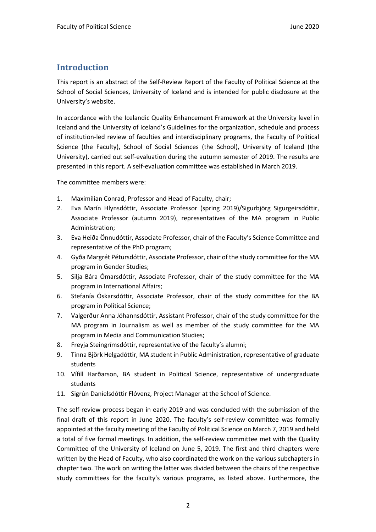# **Introduction**

This report is an abstract of the Self-Review Report of the Faculty of Political Science at the School of Social Sciences, University of Iceland and is intended for public disclosure at the University's website.

In accordance with the Icelandic Quality Enhancement Framework at the University level in Iceland and the University of Iceland's Guidelines for the organization, schedule and process of institution-led review of faculties and interdisciplinary programs, the Faculty of Political Science (the Faculty), School of Social Sciences (the School), University of Iceland (the University), carried out self-evaluation during the autumn semester of 2019. The results are presented in this report. A self-evaluation committee was established in March 2019.

The committee members were:

- 1. Maximilian Conrad, Professor and Head of Faculty, chair;
- 2. Eva Marín Hlynsdóttir, Associate Professor (spring 2019)/Sigurbjörg Sigurgeirsdóttir, Associate Professor (autumn 2019), representatives of the MA program in Public Administration;
- 3. Eva Heiða Önnudóttir, Associate Professor, chair of the Faculty's Science Committee and representative of the PhD program;
- 4. Gyða Margrét Pétursdóttir, Associate Professor, chair of the study committee for the MA program in Gender Studies;
- 5. Silja Bára Ómarsdóttir, Associate Professor, chair of the study committee for the MA program in International Affairs;
- 6. Stefanía Óskarsdóttir, Associate Professor, chair of the study committee for the BA program in Political Science;
- 7. Valgerður Anna Jóhannsdóttir, Assistant Professor, chair of the study committee for the MA program in Journalism as well as member of the study committee for the MA program in Media and Communication Studies;
- 8. Freyja Steingrímsdóttir, representative of the faculty's alumni;
- 9. Tinna Björk Helgadóttir, MA student in Public Administration, representative of graduate students
- 10. Vífill Harðarson, BA student in Political Science, representative of undergraduate students
- 11. Sigrún Daníelsdóttir Flóvenz, Project Manager at the School of Science.

The self-review process began in early 2019 and was concluded with the submission of the final draft of this report in June 2020. The faculty's self-review committee was formally appointed at the faculty meeting of the Faculty of Political Science on March 7, 2019 and held a total of five formal meetings. In addition, the self-review committee met with the Quality Committee of the University of Iceland on June 5, 2019. The first and third chapters were written by the Head of Faculty, who also coordinated the work on the various subchapters in chapter two. The work on writing the latter was divided between the chairs of the respective study committees for the faculty's various programs, as listed above. Furthermore, the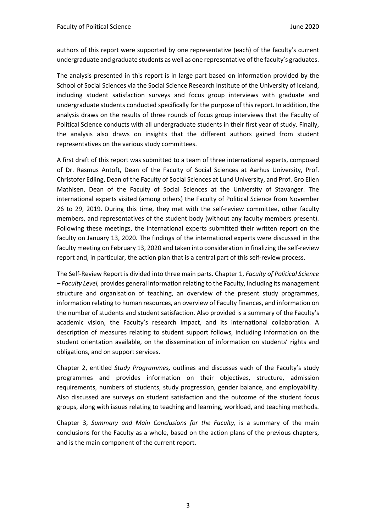authors of this report were supported by one representative (each) of the faculty's current undergraduate and graduate students as well as one representative of the faculty's graduates.

The analysis presented in this report is in large part based on information provided by the School of Social Sciences via the Social Science Research Institute of the University of Iceland, including student satisfaction surveys and focus group interviews with graduate and undergraduate students conducted specifically for the purpose of this report. In addition, the analysis draws on the results of three rounds of focus group interviews that the Faculty of Political Science conducts with all undergraduate students in their first year of study. Finally, the analysis also draws on insights that the different authors gained from student representatives on the various study committees.

A first draft of this report was submitted to a team of three international experts, composed of Dr. Rasmus Antoft, Dean of the Faculty of Social Sciences at Aarhus University, Prof. Christofer Edling, Dean of the Faculty of Social Sciences at Lund University, and Prof. Gro Ellen Mathisen, Dean of the Faculty of Social Sciences at the University of Stavanger. The international experts visited (among others) the Faculty of Political Science from November 26 to 29, 2019. During this time, they met with the self-review committee, other faculty members, and representatives of the student body (without any faculty members present). Following these meetings, the international experts submitted their written report on the faculty on January 13, 2020. The findings of the international experts were discussed in the faculty meeting on February 13, 2020 and taken into consideration in finalizing the self-review report and, in particular, the action plan that is a central part of this self-review process.

The Self-Review Report is divided into three main parts. Chapter 1, *Faculty of Political Science – Faculty Level,* provides general information relating to the Faculty, including its management structure and organisation of teaching, an overview of the present study programmes, information relating to human resources, an overview of Faculty finances, and information on the number of students and student satisfaction. Also provided is a summary of the Faculty's academic vision, the Faculty's research impact, and its international collaboration. A description of measures relating to student support follows, including information on the student orientation available, on the dissemination of information on students' rights and obligations, and on support services.

Chapter 2, entitled *Study Programmes,* outlines and discusses each of the Faculty's study programmes and provides information on their objectives, structure, admission requirements, numbers of students, study progression, gender balance, and employability. Also discussed are surveys on student satisfaction and the outcome of the student focus groups, along with issues relating to teaching and learning, workload, and teaching methods.

Chapter 3, *Summary and Main Conclusions for the Faculty,* is a summary of the main conclusions for the Faculty as a whole, based on the action plans of the previous chapters, and is the main component of the current report.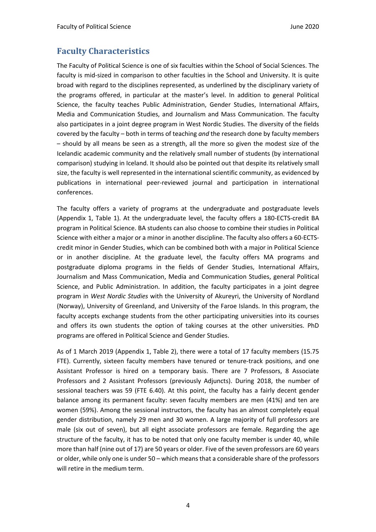# **Faculty Characteristics**

The Faculty of Political Science is one of six faculties within the School of Social Sciences. The faculty is mid-sized in comparison to other faculties in the School and University. It is quite broad with regard to the disciplines represented, as underlined by the disciplinary variety of the programs offered, in particular at the master's level. In addition to general Political Science, the faculty teaches Public Administration, Gender Studies, International Affairs, Media and Communication Studies, and Journalism and Mass Communication. The faculty also participates in a joint degree program in West Nordic Studies. The diversity of the fields covered by the faculty – both in terms of teaching *and* the research done by faculty members – should by all means be seen as a strength, all the more so given the modest size of the Icelandic academic community and the relatively small number of students (by international comparison) studying in Iceland. It should also be pointed out that despite its relatively small size, the faculty is well represented in the international scientific community, as evidenced by publications in international peer-reviewed journal and participation in international conferences.

The faculty offers a variety of programs at the undergraduate and postgraduate levels (Appendix 1, Table 1). At the undergraduate level, the faculty offers a 180-ECTS-credit BA program in Political Science. BA students can also choose to combine their studies in Political Science with either a major or a minor in another discipline. The faculty also offers a 60-ECTScredit minor in Gender Studies, which can be combined both with a major in Political Science or in another discipline. At the graduate level, the faculty offers MA programs and postgraduate diploma programs in the fields of Gender Studies, International Affairs, Journalism and Mass Communication, Media and Communication Studies, general Political Science, and Public Administration. In addition, the faculty participates in a joint degree program in *West Nordic Studies* with the University of Akureyri, the University of Nordland (Norway), University of Greenland, and University of the Faroe Islands. In this program, the faculty accepts exchange students from the other participating universities into its courses and offers its own students the option of taking courses at the other universities. PhD programs are offered in Political Science and Gender Studies.

As of 1 March 2019 (Appendix 1, Table 2), there were a total of 17 faculty members (15.75 FTE). Currently, sixteen faculty members have tenured or tenure-track positions, and one Assistant Professor is hired on a temporary basis. There are 7 Professors, 8 Associate Professors and 2 Assistant Professors (previously Adjuncts). During 2018, the number of sessional teachers was 59 (FTE 6.40). At this point, the faculty has a fairly decent gender balance among its permanent faculty: seven faculty members are men (41%) and ten are women (59%). Among the sessional instructors, the faculty has an almost completely equal gender distribution, namely 29 men and 30 women. A large majority of full professors are male (six out of seven), but all eight associate professors are female. Regarding the age structure of the faculty, it has to be noted that only one faculty member is under 40, while more than half (nine out of 17) are 50 years or older. Five of the seven professors are 60 years or older, while only one is under 50 – which means that a considerable share of the professors will retire in the medium term.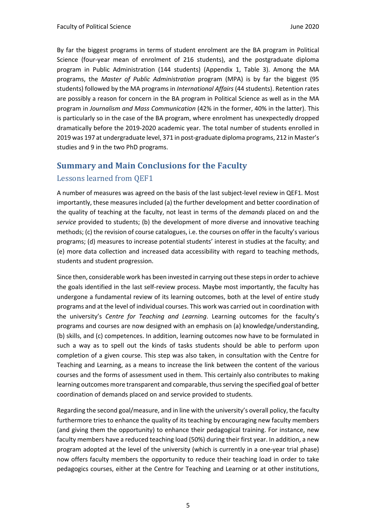By far the biggest programs in terms of student enrolment are the BA program in Political Science (four-year mean of enrolment of 216 students), and the postgraduate diploma program in Public Administration (144 students) (Appendix 1, Table 3). Among the MA programs, the *Master of Public Administration* program (MPA) is by far the biggest (95 students) followed by the MA programs in *International Affairs* (44 students). Retention rates are possibly a reason for concern in the BA program in Political Science as well as in the MA program in *Journalism and Mass Communication* (42% in the former, 40% in the latter). This is particularly so in the case of the BA program, where enrolment has unexpectedly dropped dramatically before the 2019-2020 academic year. The total number of students enrolled in 2019 was 197 at undergraduate level, 371 in post-graduate diploma programs, 212 in Master's studies and 9 in the two PhD programs.

# **Summary and Main Conclusions for the Faculty**

# Lessons learned from QEF1

A number of measures was agreed on the basis of the last subject-level review in QEF1. Most importantly, these measures included (a) the further development and better coordination of the quality of teaching at the faculty, not least in terms of the *demands* placed on and the *service* provided to students; (b) the development of more diverse and innovative teaching methods; (c) the revision of course catalogues, i.e. the courses on offer in the faculty's various programs; (d) measures to increase potential students' interest in studies at the faculty; and (e) more data collection and increased data accessibility with regard to teaching methods, students and student progression.

Since then, considerable work has been invested in carrying out these steps in order to achieve the goals identified in the last self-review process. Maybe most importantly, the faculty has undergone a fundamental review of its learning outcomes, both at the level of entire study programs and at the level of individual courses. This work was carried out in coordination with the university's *Centre for Teaching and Learning*. Learning outcomes for the faculty's programs and courses are now designed with an emphasis on (a) knowledge/understanding, (b) skills, and (c) competences. In addition, learning outcomes now have to be formulated in such a way as to spell out the kinds of tasks students should be able to perform upon completion of a given course. This step was also taken, in consultation with the Centre for Teaching and Learning, as a means to increase the link between the content of the various courses and the forms of assessment used in them. This certainly also contributes to making learning outcomes more transparent and comparable, thus serving the specified goal of better coordination of demands placed on and service provided to students.

Regarding the second goal/measure, and in line with the university's overall policy, the faculty furthermore tries to enhance the quality of its teaching by encouraging new faculty members (and giving them the opportunity) to enhance their pedagogical training. For instance, new faculty members have a reduced teaching load (50%) during their first year. In addition, a new program adopted at the level of the university (which is currently in a one-year trial phase) now offers faculty members the opportunity to reduce their teaching load in order to take pedagogics courses, either at the Centre for Teaching and Learning or at other institutions,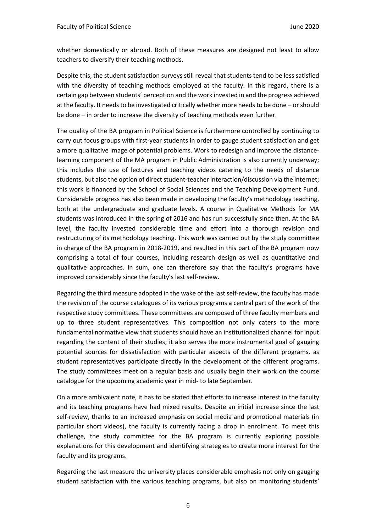whether domestically or abroad. Both of these measures are designed not least to allow teachers to diversify their teaching methods.

Despite this, the student satisfaction surveys still reveal that students tend to be less satisfied with the diversity of teaching methods employed at the faculty. In this regard, there is a certain gap between students' perception and the work invested in and the progress achieved at the faculty. It needs to be investigated critically whether more needs to be done – or should be done – in order to increase the diversity of teaching methods even further.

The quality of the BA program in Political Science is furthermore controlled by continuing to carry out focus groups with first-year students in order to gauge student satisfaction and get a more qualitative image of potential problems. Work to redesign and improve the distancelearning component of the MA program in Public Administration is also currently underway; this includes the use of lectures and teaching videos catering to the needs of distance students, but also the option of direct student-teacher interaction/discussion via the internet; this work is financed by the School of Social Sciences and the Teaching Development Fund. Considerable progress has also been made in developing the faculty's methodology teaching, both at the undergraduate and graduate levels. A course in Qualitative Methods for MA students was introduced in the spring of 2016 and has run successfully since then. At the BA level, the faculty invested considerable time and effort into a thorough revision and restructuring of its methodology teaching. This work was carried out by the study committee in charge of the BA program in 2018-2019, and resulted in this part of the BA program now comprising a total of four courses, including research design as well as quantitative and qualitative approaches. In sum, one can therefore say that the faculty's programs have improved considerably since the faculty's last self-review.

Regarding the third measure adopted in the wake of the last self-review, the faculty has made the revision of the course catalogues of its various programs a central part of the work of the respective study committees. These committees are composed of three faculty members and up to three student representatives. This composition not only caters to the more fundamental normative view that students should have an institutionalized channel for input regarding the content of their studies; it also serves the more instrumental goal of gauging potential sources for dissatisfaction with particular aspects of the different programs, as student representatives participate directly in the development of the different programs. The study committees meet on a regular basis and usually begin their work on the course catalogue for the upcoming academic year in mid- to late September.

On a more ambivalent note, it has to be stated that efforts to increase interest in the faculty and its teaching programs have had mixed results. Despite an initial increase since the last self-review, thanks to an increased emphasis on social media and promotional materials (in particular short videos), the faculty is currently facing a drop in enrolment. To meet this challenge, the study committee for the BA program is currently exploring possible explanations for this development and identifying strategies to create more interest for the faculty and its programs.

Regarding the last measure the university places considerable emphasis not only on gauging student satisfaction with the various teaching programs, but also on monitoring students'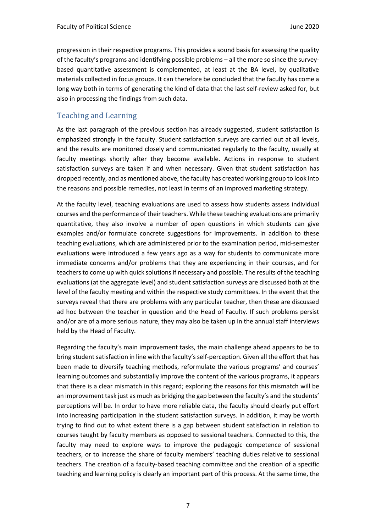progression in their respective programs. This provides a sound basis for assessing the quality of the faculty's programs and identifying possible problems – all the more so since the surveybased quantitative assessment is complemented, at least at the BA level, by qualitative materials collected in focus groups. It can therefore be concluded that the faculty has come a long way both in terms of generating the kind of data that the last self-review asked for, but also in processing the findings from such data.

## Teaching and Learning

As the last paragraph of the previous section has already suggested, student satisfaction is emphasized strongly in the faculty. Student satisfaction surveys are carried out at all levels, and the results are monitored closely and communicated regularly to the faculty, usually at faculty meetings shortly after they become available. Actions in response to student satisfaction surveys are taken if and when necessary. Given that student satisfaction has dropped recently, and as mentioned above, the faculty has created working group to look into the reasons and possible remedies, not least in terms of an improved marketing strategy.

At the faculty level, teaching evaluations are used to assess how students assess individual courses and the performance of their teachers. While these teaching evaluations are primarily quantitative, they also involve a number of open questions in which students can give examples and/or formulate concrete suggestions for improvements. In addition to these teaching evaluations, which are administered prior to the examination period, mid-semester evaluations were introduced a few years ago as a way for students to communicate more immediate concerns and/or problems that they are experiencing in their courses, and for teachers to come up with quick solutions if necessary and possible. The results of the teaching evaluations (at the aggregate level) and student satisfaction surveys are discussed both at the level of the faculty meeting and within the respective study committees. In the event that the surveys reveal that there are problems with any particular teacher, then these are discussed ad hoc between the teacher in question and the Head of Faculty. If such problems persist and/or are of a more serious nature, they may also be taken up in the annual staff interviews held by the Head of Faculty.

Regarding the faculty's main improvement tasks, the main challenge ahead appears to be to bring student satisfaction in line with the faculty's self-perception. Given all the effort that has been made to diversify teaching methods, reformulate the various programs' and courses' learning outcomes and substantially improve the content of the various programs, it appears that there is a clear mismatch in this regard; exploring the reasons for this mismatch will be an improvement task just as much as bridging the gap between the faculty's and the students' perceptions will be. In order to have more reliable data, the faculty should clearly put effort into increasing participation in the student satisfaction surveys. In addition, it may be worth trying to find out to what extent there is a gap between student satisfaction in relation to courses taught by faculty members as opposed to sessional teachers. Connected to this, the faculty may need to explore ways to improve the pedagogic competence of sessional teachers, or to increase the share of faculty members' teaching duties relative to sessional teachers. The creation of a faculty-based teaching committee and the creation of a specific teaching and learning policy is clearly an important part of this process. At the same time, the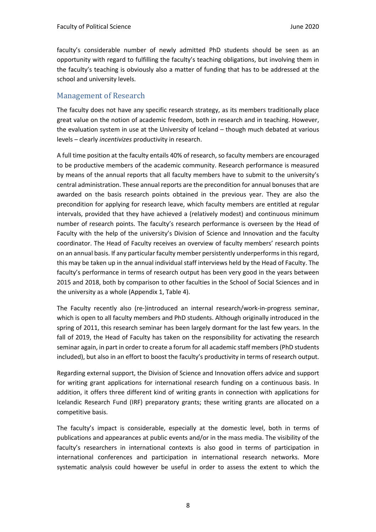faculty's considerable number of newly admitted PhD students should be seen as an opportunity with regard to fulfilling the faculty's teaching obligations, but involving them in the faculty's teaching is obviously also a matter of funding that has to be addressed at the school and university levels.

#### Management of Research

The faculty does not have any specific research strategy, as its members traditionally place great value on the notion of academic freedom, both in research and in teaching. However, the evaluation system in use at the University of Iceland – though much debated at various levels – clearly *incentivizes* productivity in research.

A full time position at the faculty entails 40% of research, so faculty members are encouraged to be productive members of the academic community. Research performance is measured by means of the annual reports that all faculty members have to submit to the university's central administration. These annual reports are the precondition for annual bonuses that are awarded on the basis research points obtained in the previous year. They are also the precondition for applying for research leave, which faculty members are entitled at regular intervals, provided that they have achieved a (relatively modest) and continuous minimum number of research points. The faculty's research performance is overseen by the Head of Faculty with the help of the university's Division of Science and Innovation and the faculty coordinator. The Head of Faculty receives an overview of faculty members' research points on an annual basis. If any particular faculty member persistently underperforms in this regard, this may be taken up in the annual individual staff interviews held by the Head of Faculty. The faculty's performance in terms of research output has been very good in the years between 2015 and 2018, both by comparison to other faculties in the School of Social Sciences and in the university as a whole (Appendix 1, Table 4).

The Faculty recently also (re-)introduced an internal research/work-in-progress seminar, which is open to all faculty members and PhD students. Although originally introduced in the spring of 2011, this research seminar has been largely dormant for the last few years. In the fall of 2019, the Head of Faculty has taken on the responsibility for activating the research seminar again, in part in order to create a forum for all academic staff members (PhD students included), but also in an effort to boost the faculty's productivity in terms of research output.

Regarding external support, the Division of Science and Innovation offers advice and support for writing grant applications for international research funding on a continuous basis. In addition, it offers three different kind of writing grants in connection with applications for Icelandic Research Fund (IRF) preparatory grants; these writing grants are allocated on a competitive basis.

The faculty's impact is considerable, especially at the domestic level, both in terms of publications and appearances at public events and/or in the mass media. The visibility of the faculty's researchers in international contexts is also good in terms of participation in international conferences and participation in international research networks. More systematic analysis could however be useful in order to assess the extent to which the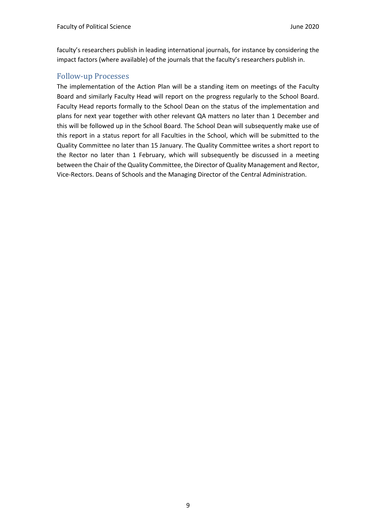faculty's researchers publish in leading international journals, for instance by considering the impact factors (where available) of the journals that the faculty's researchers publish in.

#### Follow-up Processes

The implementation of the Action Plan will be a standing item on meetings of the Faculty Board and similarly Faculty Head will report on the progress regularly to the School Board. Faculty Head reports formally to the School Dean on the status of the implementation and plans for next year together with other relevant QA matters no later than 1 December and this will be followed up in the School Board. The School Dean will subsequently make use of this report in a status report for all Faculties in the School, which will be submitted to the Quality Committee no later than 15 January. The Quality Committee writes a short report to the Rector no later than 1 February, which will subsequently be discussed in a meeting between the Chair of the Quality Committee, the Director of Quality Management and Rector, Vice-Rectors. Deans of Schools and the Managing Director of the Central Administration.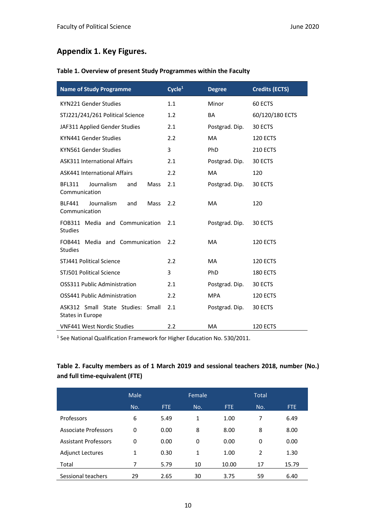# **Appendix 1. Key Figures.**

#### **Table 1. Overview of present Study Programmes within the Faculty**

| <b>Name of Study Programme</b>                                     | Cycle <sup>1</sup> | <b>Degree</b>  | <b>Credits (ECTS)</b> |
|--------------------------------------------------------------------|--------------------|----------------|-----------------------|
| KYN221 Gender Studies                                              | 1.1                | Minor          | 60 ECTS               |
| STJ221/241/261 Political Science                                   | 1.2                | BA             | 60/120/180 ECTS       |
| JAF311 Applied Gender Studies                                      | 2.1                | Postgrad. Dip. | 30 ECTS               |
| KYN441 Gender Studies                                              | 2.2                | <b>MA</b>      | 120 ECTS              |
| KYN561 Gender Studies                                              | 3                  | PhD            | <b>210 ECTS</b>       |
| <b>ASK311 International Affairs</b>                                | 2.1                | Postgrad. Dip. | 30 ECTS               |
| <b>ASK441 International Affairs</b>                                | 2.2                | <b>MA</b>      | 120                   |
| <b>BFL311</b><br>Journalism<br>and<br><b>Mass</b><br>Communication | 2.1                | Postgrad. Dip. | 30 ECTS               |
| Journalism<br><b>BLF441</b><br>and<br><b>Mass</b><br>Communication | 2.2                | <b>MA</b>      | 120                   |
| FOB311 Media and Communication<br><b>Studies</b>                   | 2.1                | Postgrad. Dip. | 30 ECTS               |
| FOB441 Media and Communication<br><b>Studies</b>                   | 2.2                | <b>MA</b>      | 120 ECTS              |
| STJ441 Political Science                                           | 2.2                | MA             | <b>120 ECTS</b>       |
| <b>STJ501 Political Science</b>                                    | 3                  | PhD            | 180 ECTS              |
| OSS311 Public Administration                                       | 2.1                | Postgrad. Dip. | 30 ECTS               |
| OSS441 Public Administration                                       | 2.2                | <b>MPA</b>     | 120 ECTS              |
| ASK312 Small State Studies: Small<br>States in Europe              | 2.1                | Postgrad. Dip. | 30 ECTS               |
| <b>VNF441 West Nordic Studies</b>                                  | 2.2                | MA             | 120 ECTS              |

<sup>1</sup> See National Qualification Framework for Higher Education No. 530/2011.

## **Table 2. Faculty members as of 1 March 2019 and sessional teachers 2018, number (No.) and full time-equivalent (FTE)**

|                             | Male |      | Female |       | <b>Total</b>   |       |
|-----------------------------|------|------|--------|-------|----------------|-------|
|                             | No.  | FTE. | No.    | FTE.  | No.            | FTE.  |
| Professors                  | 6    | 5.49 | 1      | 1.00  | 7              | 6.49  |
| Associate Professors        | 0    | 0.00 | 8      | 8.00  | 8              | 8.00  |
| <b>Assistant Professors</b> | 0    | 0.00 | 0      | 0.00  | 0              | 0.00  |
| <b>Adjunct Lectures</b>     | 1    | 0.30 | 1      | 1.00  | $\overline{2}$ | 1.30  |
| Total                       | 7    | 5.79 | 10     | 10.00 | 17             | 15.79 |
| Sessional teachers          | 29   | 2.65 | 30     | 3.75  | 59             | 6.40  |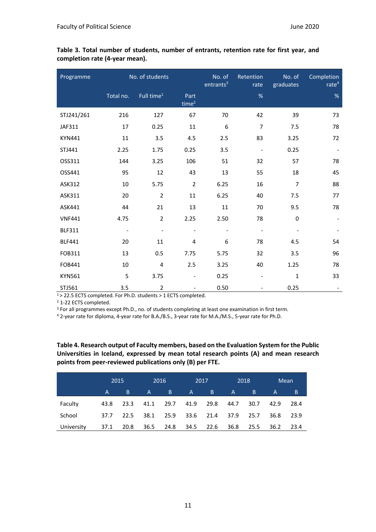| Programme     |                          | No. of students          |                           | No. of<br>entrants <sup>3</sup> | Retention<br>rate        | No. of<br>graduates | Completion<br>rate <sup>4</sup> |
|---------------|--------------------------|--------------------------|---------------------------|---------------------------------|--------------------------|---------------------|---------------------------------|
|               | Total no.                | Full time <sup>1</sup>   | Part<br>time <sup>2</sup> |                                 | $\%$                     |                     | %                               |
| STJ241/261    | 216                      | 127                      | 67                        | 70                              | 42                       | 39                  | 73                              |
| JAF311        | 17                       | 0.25                     | $11\,$                    | 6                               | $\overline{7}$           | 7.5                 | 78                              |
| <b>KYN441</b> | 11                       | 3.5                      | 4.5                       | 2.5                             | 83                       | 3.25                | 72                              |
| STJ441        | 2.25                     | 1.75                     | 0.25                      | 3.5                             | $\blacksquare$           | 0.25                |                                 |
| OSS311        | 144                      | 3.25                     | 106                       | 51                              | 32                       | 57                  | 78                              |
| OSS441        | 95                       | 12                       | 43                        | 13                              | 55                       | 18                  | 45                              |
| ASK312        | 10                       | 5.75                     | $\overline{2}$            | 6.25                            | 16                       | $\overline{7}$      | 88                              |
| ASK311        | 20                       | $\overline{2}$           | 11                        | 6.25                            | 40                       | 7.5                 | 77                              |
| ASK441        | 44                       | 21                       | 13                        | 11                              | 70                       | 9.5                 | 78                              |
| <b>VNF441</b> | 4.75                     | $\overline{2}$           | 2.25                      | 2.50                            | 78                       | $\Omega$            |                                 |
| <b>BLF311</b> | $\overline{\phantom{a}}$ | $\overline{\phantom{a}}$ | $\overline{\phantom{a}}$  | $\overline{\phantom{a}}$        | $\overline{\phantom{a}}$ |                     |                                 |
| <b>BLF441</b> | 20                       | 11                       | 4                         | 6                               | 78                       | 4.5                 | 54                              |
| FOB311        | 13                       | 0.5                      | 7.75                      | 5.75                            | 32                       | 3.5                 | 96                              |
| FOB441        | 10                       | $\overline{4}$           | 2.5                       | 3.25                            | 40                       | 1.25                | 78                              |
| <b>KYN561</b> | 5                        | 3.75                     |                           | 0.25                            |                          | 1                   | 33                              |
| STJ561        | 3.5                      | $\overline{2}$           |                           | 0.50                            |                          | 0.25                |                                 |

**Table 3. Total number of students, number of entrants, retention rate for first year, and completion rate (4-year mean).**

1 > 22.5 ECTS completed. For Ph.D. students > 1 ECTS completed.

<sup>2</sup> 1-22 ECTS completed.

<sup>3</sup> For all programmes except Ph.D., no. of students completing at least one examination in first term.

<sup>4</sup> 2-year rate for diploma, 4-year rate for B.A./B.S., 3-year rate for M.A./M.S., 5-year rate for Ph.D.

**Table 4. Research output of Faculty members, based on the Evaluation System for the Public Universities in Iceland, expressed by mean total research points (A) and mean research points from peer-reviewed publications only (B) per FTE.**

|            | 2015 |      |              | 2016 | 2017 |      | 2018 |                | Mean |      |
|------------|------|------|--------------|------|------|------|------|----------------|------|------|
|            | A    | B    | $\mathsf{A}$ | B.   | A    | B.   | A.   | $\overline{B}$ | A    | B    |
| Faculty    | 43.8 | 23.3 | 41.1         | 29.7 | 41.9 | 29.8 | 44.7 | 30.7           | 42.9 | 28.4 |
| School     | 37.7 | 22.5 | 38.1         | 25.9 | 33.6 | 21.4 | 37.9 | 25.7           | 36.8 | 23.9 |
| University | 37.1 | 20.8 | 36.5         | 24.8 | 34.5 | 22.6 | 36.8 | 25.5           | 36.2 | 23.4 |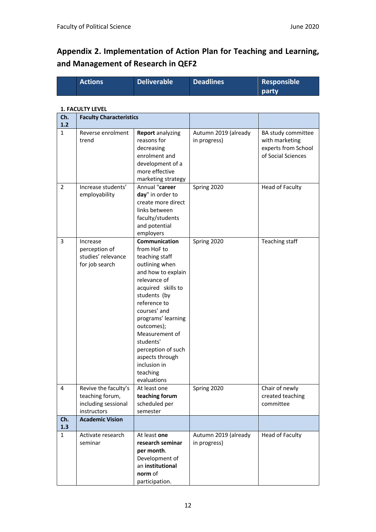# **Appendix 2. Implementation of Action Plan for Teaching and Learning, and Management of Research in QEF2**

|                | <b>Actions</b>                                                                | <b>Deliverable</b>                                                                                                                                                                                                                                                                                                                  | <b>Deadlines</b>                     | <b>Responsible</b>                                                                |
|----------------|-------------------------------------------------------------------------------|-------------------------------------------------------------------------------------------------------------------------------------------------------------------------------------------------------------------------------------------------------------------------------------------------------------------------------------|--------------------------------------|-----------------------------------------------------------------------------------|
|                |                                                                               |                                                                                                                                                                                                                                                                                                                                     |                                      | party                                                                             |
|                |                                                                               |                                                                                                                                                                                                                                                                                                                                     |                                      |                                                                                   |
|                | <b>1. FACULTY LEVEL</b>                                                       |                                                                                                                                                                                                                                                                                                                                     |                                      |                                                                                   |
| Ch.<br>$1.2$   | <b>Faculty Characteristics</b>                                                |                                                                                                                                                                                                                                                                                                                                     |                                      |                                                                                   |
| $\mathbf{1}$   | Reverse enrolment<br>trend                                                    | <b>Report</b> analyzing<br>reasons for<br>decreasing<br>enrolment and<br>development of a<br>more effective<br>marketing strategy                                                                                                                                                                                                   | Autumn 2019 (already<br>in progress) | BA study committee<br>with marketing<br>experts from School<br>of Social Sciences |
| $\overline{2}$ | Increase students'<br>employability                                           | Annual "career<br>day" in order to<br>create more direct<br>links between<br>faculty/students<br>and potential<br>employers                                                                                                                                                                                                         | Spring 2020                          | <b>Head of Faculty</b>                                                            |
| 3              | Increase<br>perception of<br>studies' relevance<br>for job search             | Communication<br>from HoF to<br>teaching staff<br>outlining when<br>and how to explain<br>relevance of<br>acquired skills to<br>students (by<br>reference to<br>courses' and<br>programs' learning<br>outcomes);<br>Measurement of<br>students'<br>perception of such<br>aspects through<br>inclusion in<br>teaching<br>evaluations | Spring 2020                          | Teaching staff                                                                    |
| 4              | Revive the faculty's<br>teaching forum,<br>including sessional<br>instructors | At least one<br>teaching forum<br>scheduled per<br>semester                                                                                                                                                                                                                                                                         | Spring 2020                          | Chair of newly<br>created teaching<br>committee                                   |
| Ch.<br>1.3     | <b>Academic Vision</b>                                                        |                                                                                                                                                                                                                                                                                                                                     |                                      |                                                                                   |
| $\mathbf{1}$   | Activate research<br>seminar                                                  | At least one<br>research seminar<br>per month.<br>Development of<br>an institutional<br>norm of<br>participation.                                                                                                                                                                                                                   | Autumn 2019 (already<br>in progress) | <b>Head of Faculty</b>                                                            |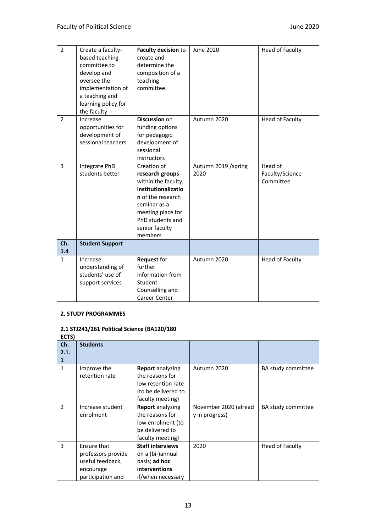| $\overline{2}$ | Create a faculty-<br>based teaching<br>committee to<br>develop and<br>oversee the<br>implementation of<br>a teaching and<br>learning policy for<br>the faculty | Faculty decision to<br>create and<br>determine the<br>composition of a<br>teaching<br>committee.                                                                                        | June 2020                   | <b>Head of Faculty</b>                  |
|----------------|----------------------------------------------------------------------------------------------------------------------------------------------------------------|-----------------------------------------------------------------------------------------------------------------------------------------------------------------------------------------|-----------------------------|-----------------------------------------|
| $\overline{2}$ | Increase<br>opportunities for<br>development of<br>sessional teachers                                                                                          | <b>Discussion on</b><br>funding options<br>for pedagogic<br>development of<br>sessional<br>instructors                                                                                  | Autumn 2020                 | Head of Faculty                         |
| 3              | Integrate PhD<br>students better                                                                                                                               | Creation of<br>research groups<br>within the faculty;<br>institutionalizatio<br>n of the research<br>seminar as a<br>meeting place for<br>PhD students and<br>senior faculty<br>members | Autumn 2019 /spring<br>2020 | Head of<br>Faculty/Science<br>Committee |
| Ch.<br>1.4     | <b>Student Support</b>                                                                                                                                         |                                                                                                                                                                                         |                             |                                         |
| $\mathbf{1}$   | Increase<br>understanding of<br>students' use of<br>support services                                                                                           | Request for<br>further<br>information from<br>Student<br>Counselling and<br>Career Center                                                                                               | Autumn 2020                 | Head of Faculty                         |

#### **2. STUDY PROGRAMMES**

#### **2.1 STJ241/261 Political Science (BA120/180**

**ECTS) Ch. 2.1. 1 Students**  1 Improve the retention rate **Report** analyzing the reasons for low retention rate (to be delivered to faculty meeting) Autumn 2020 BA study committee 2 | Increase student enrolment **Report** analyzing the reasons for low enrolment (to be delivered to faculty meeting) November 2020 (alread y in progress) BA study committee 3 Ensure that professors provide useful feedback, encourage participation and **Staff interviews** on a (bi-)annual basis; **ad hoc interventions** if/when necessary 2020 Head of Faculty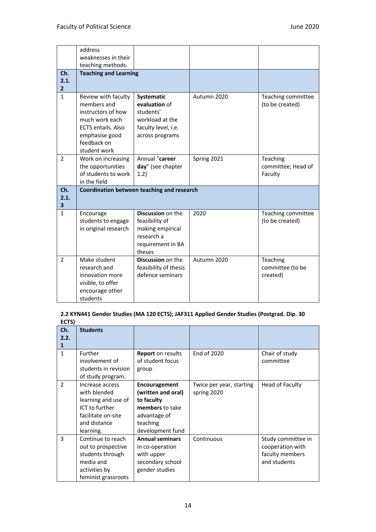|                               | address<br>weaknesses in their                                                                                                                           |                                                                                                       |             |                                           |
|-------------------------------|----------------------------------------------------------------------------------------------------------------------------------------------------------|-------------------------------------------------------------------------------------------------------|-------------|-------------------------------------------|
|                               | teaching methods.                                                                                                                                        |                                                                                                       |             |                                           |
| Ch.<br>2.1.<br>$\overline{2}$ | <b>Teaching and Learning</b>                                                                                                                             |                                                                                                       |             |                                           |
| $\mathbf{1}$                  | Review with faculty<br>members and<br>instructors of how<br>much work each<br><b>ECTS entails. Also</b><br>emphasise good<br>feedback on<br>student work | Systematic<br>evaluation of<br>students'<br>workload at the<br>faculty level, i.e.<br>across programs | Autumn 2020 | Teaching committee<br>(to be created)     |
| 2                             | Work on increasing<br>the opportunities<br>of students to work<br>in the field                                                                           | Annual "career<br>day" (see chapter<br>1.2)                                                           | Spring 2021 | Teaching<br>committee; Head of<br>Faculty |
| Ch.<br>2.1.<br>3              |                                                                                                                                                          | Coordination between teaching and research                                                            |             |                                           |
| $\mathbf{1}$                  | Encourage<br>students to engage<br>in original research                                                                                                  | Discussion on the<br>feasibility of<br>making empirical<br>research a<br>requirement in BA<br>theses  | 2020        | Teaching committee<br>(to be created)     |
| $\overline{2}$                | Make student<br>research and<br>innovation more<br>visible, to offer<br>encourage other<br>students                                                      | <b>Discussion on the</b><br>feasibility of thesis<br>defence seminars                                 | Autumn 2020 | Teaching<br>committee (to be<br>created)  |

#### **2.2 KYN441 Gender Studies (MA 120 ECTS); JAF311 Applied Gender Studies (Postgrad. Dip. 30 ECTS)**

| Ch.<br>2.2.<br>1 | <b>Students</b>                                                                                                             |                                                                                                                             |                                         |                                                                           |
|------------------|-----------------------------------------------------------------------------------------------------------------------------|-----------------------------------------------------------------------------------------------------------------------------|-----------------------------------------|---------------------------------------------------------------------------|
| $\mathbf{1}$     | Further<br>involvement of<br>students in revision<br>of study program.                                                      | <b>Report</b> on results<br>of student focus<br>group                                                                       | End of 2020                             | Chair of study<br>committee                                               |
| $\mathcal{P}$    | Increase access<br>with blended<br>learning and use of<br>ICT to further<br>facilitate on-site<br>and distance<br>learning. | <b>Encouragement</b><br>(written and oral)<br>to faculty<br>members to take<br>advantage of<br>teaching<br>development fund | Twice per year, starting<br>spring 2020 | Head of Faculty                                                           |
| 3                | Continue to reach<br>out to prospective<br>students through<br>media and<br>activities by<br>feminist grassroots            | <b>Annual seminars</b><br>in co-operation<br>with upper<br>secondary school<br>gender studies                               | Continuous                              | Study committee in<br>cooperation with<br>faculty members<br>and students |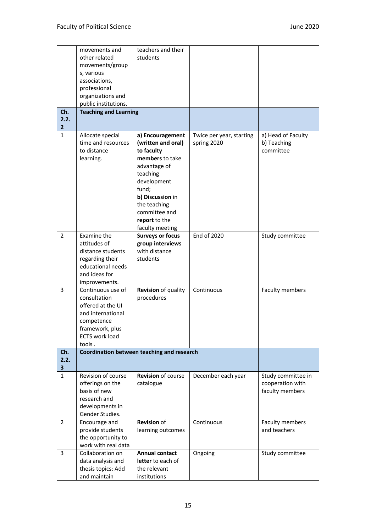|                      | movements and<br>other related<br>movements/group<br>s, various<br>associations,<br>professional                                                | teachers and their<br>students                                                                                                                                                                    |                                         |                                                           |
|----------------------|-------------------------------------------------------------------------------------------------------------------------------------------------|---------------------------------------------------------------------------------------------------------------------------------------------------------------------------------------------------|-----------------------------------------|-----------------------------------------------------------|
|                      | organizations and<br>public institutions.                                                                                                       |                                                                                                                                                                                                   |                                         |                                                           |
| Ch.                  | <b>Teaching and Learning</b>                                                                                                                    |                                                                                                                                                                                                   |                                         |                                                           |
| 2.2.<br>$\mathbf{2}$ |                                                                                                                                                 |                                                                                                                                                                                                   |                                         |                                                           |
| $\mathbf{1}$         | Allocate special<br>time and resources<br>to distance<br>learning.                                                                              | a) Encouragement<br>(written and oral)<br>to faculty<br>members to take<br>advantage of<br>teaching<br>development<br>fund;<br>b) Discussion in<br>the teaching<br>committee and<br>report to the | Twice per year, starting<br>spring 2020 | a) Head of Faculty<br>b) Teaching<br>committee            |
| 2                    | Examine the<br>attitudes of<br>distance students<br>regarding their<br>educational needs<br>and ideas for<br>improvements.                      | faculty meeting<br><b>Surveys or focus</b><br>group interviews<br>with distance<br>students                                                                                                       | End of 2020                             | Study committee                                           |
| 3                    | Continuous use of<br>consultation<br>offered at the UI<br>and international<br>competence<br>framework, plus<br><b>ECTS work load</b><br>tools. | Revision of quality<br>procedures                                                                                                                                                                 | Continuous                              | Faculty members                                           |
| Ch.                  |                                                                                                                                                 | Coordination between teaching and research                                                                                                                                                        |                                         |                                                           |
| 2.2.<br>3            |                                                                                                                                                 |                                                                                                                                                                                                   |                                         |                                                           |
| $\mathbf{1}$         | Revision of course<br>offerings on the<br>basis of new<br>research and<br>developments in<br>Gender Studies.                                    | <b>Revision of course</b><br>catalogue                                                                                                                                                            | December each year                      | Study committee in<br>cooperation with<br>faculty members |
| $\overline{2}$       | Encourage and<br>provide students<br>the opportunity to<br>work with real data                                                                  | <b>Revision</b> of<br>learning outcomes                                                                                                                                                           | Continuous                              | Faculty members<br>and teachers                           |
| 3                    | Collaboration on<br>data analysis and<br>thesis topics: Add<br>and maintain                                                                     | <b>Annual contact</b><br>letter to each of<br>the relevant<br>institutions                                                                                                                        | Ongoing                                 | Study committee                                           |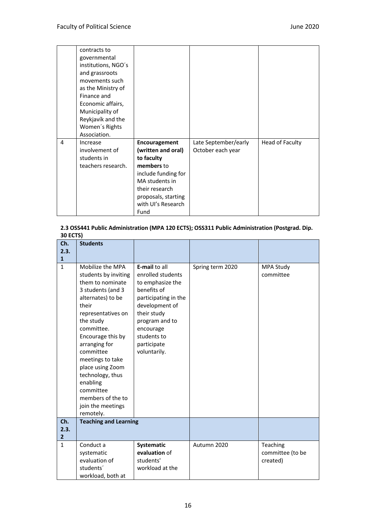|   | contracts to        |                     |                      |                 |
|---|---------------------|---------------------|----------------------|-----------------|
|   | governmental        |                     |                      |                 |
|   | institutions, NGO's |                     |                      |                 |
|   | and grassroots      |                     |                      |                 |
|   | movements such      |                     |                      |                 |
|   | as the Ministry of  |                     |                      |                 |
|   | Finance and         |                     |                      |                 |
|   | Economic affairs,   |                     |                      |                 |
|   | Municipality of     |                     |                      |                 |
|   | Reykjavík and the   |                     |                      |                 |
|   | Women's Rights      |                     |                      |                 |
|   | Association.        |                     |                      |                 |
| 4 | Increase            | Encouragement       | Late September/early | Head of Faculty |
|   | involvement of      | (written and oral)  | October each year    |                 |
|   | students in         | to faculty          |                      |                 |
|   | teachers research.  | members to          |                      |                 |
|   |                     | include funding for |                      |                 |
|   |                     | MA students in      |                      |                 |
|   |                     | their research      |                      |                 |
|   |                     | proposals, starting |                      |                 |
|   |                     | with UI's Research  |                      |                 |
|   |                     | Fund                |                      |                 |

#### **2.3 OSS441 Public Administration (MPA 120 ECTS); OSS311 Public Administration (Postgrad. Dip. 30 ECTS)**

| Ch.<br>2.3.<br>$\mathbf{1}$ | <b>Students</b>                                                                                                                                                                                                                                                                                                                                                 |                                                                                                                                                                                                                    |                  |                                          |
|-----------------------------|-----------------------------------------------------------------------------------------------------------------------------------------------------------------------------------------------------------------------------------------------------------------------------------------------------------------------------------------------------------------|--------------------------------------------------------------------------------------------------------------------------------------------------------------------------------------------------------------------|------------------|------------------------------------------|
| $\mathbf{1}$                | Mobilize the MPA<br>students by inviting<br>them to nominate<br>3 students (and 3<br>alternates) to be<br>their<br>representatives on<br>the study<br>committee.<br>Encourage this by<br>arranging for<br>committee<br>meetings to take<br>place using Zoom<br>technology, thus<br>enabling<br>committee<br>members of the to<br>join the meetings<br>remotely. | <b>E-mail to all</b><br>enrolled students<br>to emphasize the<br>benefits of<br>participating in the<br>development of<br>their study<br>program and to<br>encourage<br>students to<br>participate<br>voluntarily. | Spring term 2020 | <b>MPA Study</b><br>committee            |
| Ch.<br>2.3.<br>$\mathbf{2}$ | <b>Teaching and Learning</b>                                                                                                                                                                                                                                                                                                                                    |                                                                                                                                                                                                                    |                  |                                          |
| $\mathbf{1}$                | Conduct a<br>systematic<br>evaluation of<br>students <sup>'</sup><br>workload, both at                                                                                                                                                                                                                                                                          | Systematic<br>evaluation of<br>students'<br>workload at the                                                                                                                                                        | Autumn 2020      | Teaching<br>committee (to be<br>created) |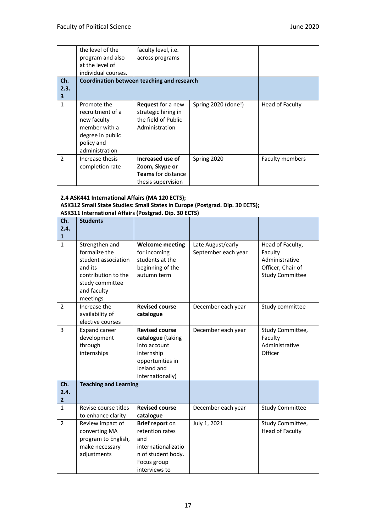|               | the level of the<br>program and also<br>at the level of<br>individual courses.                                      | faculty level, <i>i.e.</i><br>across programs                                            |                     |                        |
|---------------|---------------------------------------------------------------------------------------------------------------------|------------------------------------------------------------------------------------------|---------------------|------------------------|
| Ch.<br>2.3.   |                                                                                                                     | Coordination between teaching and research                                               |                     |                        |
| 3             |                                                                                                                     |                                                                                          |                     |                        |
| 1             | Promote the<br>recruitment of a<br>new faculty<br>member with a<br>degree in public<br>policy and<br>administration | <b>Request</b> for a new<br>strategic hiring in<br>the field of Public<br>Administration | Spring 2020 (done!) | Head of Faculty        |
| $\mathcal{P}$ | Increase thesis<br>completion rate                                                                                  | Increased use of<br>Zoom, Skype or<br><b>Teams</b> for distance<br>thesis supervision    | Spring 2020         | <b>Faculty members</b> |

#### **2.4 ASK441 International Affairs (MA 120 ECTS); ASK312 Small State Studies: Small States in Europe (Postgrad. Dip. 30 ECTS); ASK311 International Affairs (Postgrad. Dip. 30 ECTS)**

| Ch.<br>2.4.                   | <b>Students</b>                                                                                                                        |                                                                                                                                 |                                          |                                                                                              |
|-------------------------------|----------------------------------------------------------------------------------------------------------------------------------------|---------------------------------------------------------------------------------------------------------------------------------|------------------------------------------|----------------------------------------------------------------------------------------------|
| 1                             |                                                                                                                                        |                                                                                                                                 |                                          |                                                                                              |
| $\mathbf{1}$                  | Strengthen and<br>formalize the<br>student association<br>and its<br>contribution to the<br>study committee<br>and faculty<br>meetings | <b>Welcome meeting</b><br>for incoming<br>students at the<br>beginning of the<br>autumn term                                    | Late August/early<br>September each year | Head of Faculty,<br>Faculty<br>Administrative<br>Officer, Chair of<br><b>Study Committee</b> |
| $\mathcal{P}$                 | Increase the<br>availability of<br>elective courses                                                                                    | <b>Revised course</b><br>catalogue                                                                                              | December each year                       | Study committee                                                                              |
| 3                             | <b>Expand career</b><br>development<br>through<br>internships                                                                          | <b>Revised course</b><br>catalogue (taking<br>into account<br>internship<br>opportunities in<br>Iceland and<br>internationally) | December each year                       | Study Committee,<br>Faculty<br>Administrative<br>Officer                                     |
| Ch.<br>2.4.<br>$\overline{2}$ | <b>Teaching and Learning</b>                                                                                                           |                                                                                                                                 |                                          |                                                                                              |
| $\mathbf{1}$                  | Revise course titles<br>to enhance clarity                                                                                             | <b>Revised course</b><br>catalogue                                                                                              | December each year                       | <b>Study Committee</b>                                                                       |
| $\mathcal{P}$                 | Review impact of<br>converting MA<br>program to English,<br>make necessary<br>adjustments                                              | Brief report on<br>retention rates<br>and<br>internationalizatio<br>n of student body.<br>Focus group<br>interviews to          | July 1, 2021                             | Study Committee,<br><b>Head of Faculty</b>                                                   |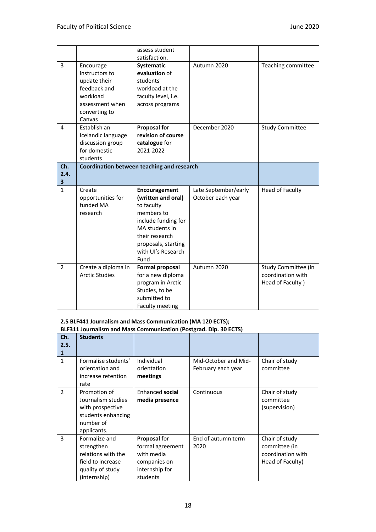|                |                                              | assess student<br>satisfaction.            |                      |                                          |
|----------------|----------------------------------------------|--------------------------------------------|----------------------|------------------------------------------|
|                |                                              |                                            |                      |                                          |
| 3              | Encourage                                    | Systematic                                 | Autumn 2020          | Teaching committee                       |
|                | instructors to                               | evaluation of                              |                      |                                          |
|                | update their                                 | students'                                  |                      |                                          |
|                | feedback and                                 | workload at the                            |                      |                                          |
|                | workload                                     | faculty level, i.e.                        |                      |                                          |
|                | assessment when                              | across programs                            |                      |                                          |
|                | converting to                                |                                            |                      |                                          |
|                | Canvas                                       |                                            |                      |                                          |
| 4              | Establish an                                 | <b>Proposal for</b>                        | December 2020        | <b>Study Committee</b>                   |
|                | Icelandic language                           | revision of course                         |                      |                                          |
|                | discussion group                             | catalogue for                              |                      |                                          |
|                | for domestic                                 | 2021-2022                                  |                      |                                          |
|                | students                                     |                                            |                      |                                          |
| Ch.            |                                              | Coordination between teaching and research |                      |                                          |
| 2.4.           |                                              |                                            |                      |                                          |
| 3              |                                              |                                            |                      |                                          |
| $\mathbf{1}$   | Create                                       | Encouragement                              | Late September/early | <b>Head of Faculty</b>                   |
|                | opportunities for                            | (written and oral)                         | October each year    |                                          |
|                | funded MA                                    | to faculty                                 |                      |                                          |
|                | research                                     | members to                                 |                      |                                          |
|                |                                              | include funding for                        |                      |                                          |
|                |                                              | MA students in                             |                      |                                          |
|                |                                              | their research                             |                      |                                          |
|                |                                              |                                            |                      |                                          |
|                |                                              |                                            |                      |                                          |
|                |                                              | proposals, starting<br>with UI's Research  |                      |                                          |
|                |                                              | Fund                                       |                      |                                          |
| $\overline{2}$ |                                              |                                            | Autumn 2020          |                                          |
|                | Create a diploma in<br><b>Arctic Studies</b> | <b>Formal proposal</b>                     |                      | Study Committee (in<br>coordination with |
|                |                                              | for a new diploma                          |                      |                                          |
|                |                                              | program in Arctic                          |                      | Head of Faculty)                         |
|                |                                              | Studies, to be<br>submitted to             |                      |                                          |

#### **2.5 BLF441 Journalism and Mass Communication (MA 120 ECTS);**

**BLF311 Journalism and Mass Communication (Postgrad. Dip. 30 ECTS)**

| Ch.           | <b>Students</b>                                                                                            |                                                                                              |                                            |                                                                          |
|---------------|------------------------------------------------------------------------------------------------------------|----------------------------------------------------------------------------------------------|--------------------------------------------|--------------------------------------------------------------------------|
| 2.5.<br>1     |                                                                                                            |                                                                                              |                                            |                                                                          |
| $\mathbf{1}$  | Formalise students'<br>orientation and<br>increase retention<br>rate                                       | Individual<br>orientation<br>meetings                                                        | Mid-October and Mid-<br>February each year | Chair of study<br>committee                                              |
| $\mathcal{P}$ | Promotion of<br>Journalism studies<br>with prospective<br>students enhancing<br>number of<br>applicants.   | Enhanced social<br>media presence                                                            | Continuous                                 | Chair of study<br>committee<br>(supervision)                             |
| 3             | Formalize and<br>strengthen<br>relations with the<br>field to increase<br>quality of study<br>(internship) | Proposal for<br>formal agreement<br>with media<br>companies on<br>internship for<br>students | End of autumn term<br>2020                 | Chair of study<br>committee (in<br>coordination with<br>Head of Faculty) |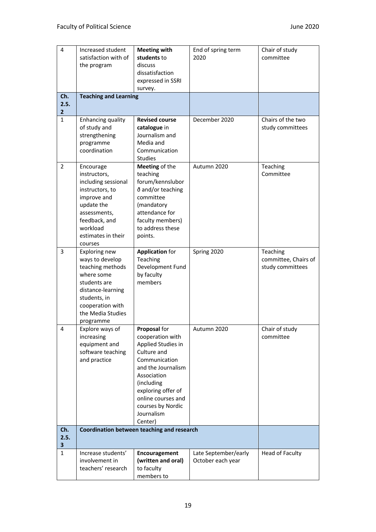| 4                    | Increased student<br>satisfaction with of<br>the program                                                                                                                       | <b>Meeting with</b><br>students to<br>discuss                                                                                                                                                                                       | End of spring term<br>2020                | Chair of study<br>committee                          |
|----------------------|--------------------------------------------------------------------------------------------------------------------------------------------------------------------------------|-------------------------------------------------------------------------------------------------------------------------------------------------------------------------------------------------------------------------------------|-------------------------------------------|------------------------------------------------------|
|                      |                                                                                                                                                                                | dissatisfaction<br>expressed in SSRI<br>survey.                                                                                                                                                                                     |                                           |                                                      |
| Ch.                  | <b>Teaching and Learning</b>                                                                                                                                                   |                                                                                                                                                                                                                                     |                                           |                                                      |
| 2.5.<br>$\mathbf{2}$ |                                                                                                                                                                                |                                                                                                                                                                                                                                     |                                           |                                                      |
| $\mathbf{1}$         | Enhancing quality<br>of study and<br>strengthening<br>programme<br>coordination                                                                                                | <b>Revised course</b><br>catalogue in<br>Journalism and<br>Media and<br>Communication<br><b>Studies</b>                                                                                                                             | December 2020                             | Chairs of the two<br>study committees                |
| 2                    | Encourage<br>instructors,<br>including sessional<br>instructors, to<br>improve and<br>update the<br>assessments,<br>feedback, and<br>workload<br>estimates in their<br>courses | Meeting of the<br>teaching<br>forum/kennslubor<br>ð and/or teaching<br>committee<br>(mandatory<br>attendance for<br>faculty members)<br>to address these<br>points.                                                                 | Autumn 2020                               | Teaching<br>Committee                                |
| 3                    | Exploring new<br>ways to develop<br>teaching methods<br>where some<br>students are<br>distance-learning<br>students, in<br>cooperation with<br>the Media Studies<br>programme  | <b>Application for</b><br>Teaching<br>Development Fund<br>by faculty<br>members                                                                                                                                                     | Spring 2020                               | Teaching<br>committee, Chairs of<br>study committees |
| 4                    | Explore ways of<br>increasing<br>equipment and<br>software teaching<br>and practice                                                                                            | Proposal for<br>cooperation with<br>Applied Studies in<br>Culture and<br>Communication<br>and the Journalism<br>Association<br>(including<br>exploring offer of<br>online courses and<br>courses by Nordic<br>Journalism<br>Center) | Autumn 2020                               | Chair of study<br>committee                          |
| Ch.<br>2.5.<br>3     |                                                                                                                                                                                | Coordination between teaching and research                                                                                                                                                                                          |                                           |                                                      |
| $\mathbf{1}$         | Increase students'<br>involvement in<br>teachers' research                                                                                                                     | Encouragement<br>(written and oral)<br>to faculty<br>members to                                                                                                                                                                     | Late September/early<br>October each year | Head of Faculty                                      |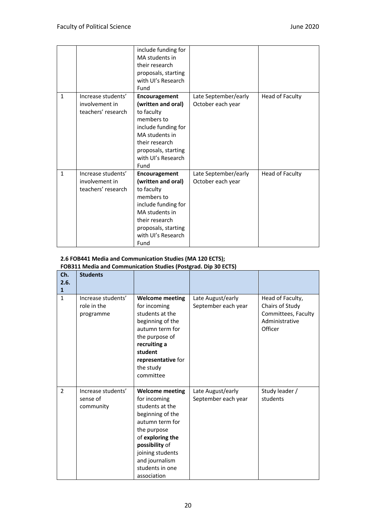|              |                                                            | include funding for<br>MA students in<br>their research<br>proposals, starting<br>with UI's Research<br>Fund                                                                    |                                           |                 |
|--------------|------------------------------------------------------------|---------------------------------------------------------------------------------------------------------------------------------------------------------------------------------|-------------------------------------------|-----------------|
| $\mathbf{1}$ | Increase students'<br>involvement in<br>teachers' research | Encouragement<br>(written and oral)<br>to faculty<br>members to<br>include funding for<br>MA students in<br>their research<br>proposals, starting<br>with UI's Research<br>Fund | Late September/early<br>October each year | Head of Faculty |
| $\mathbf{1}$ | Increase students'<br>involvement in<br>teachers' research | Encouragement<br>(written and oral)<br>to faculty<br>members to<br>include funding for<br>MA students in<br>their research<br>proposals, starting<br>with UI's Research<br>Fund | Late September/early<br>October each year | Head of Faculty |

#### **2.6 FOB441 Media and Communication Studies (MA 120 ECTS);**

#### **FOB311 Media and Communication Studies (Postgrad. Dip 30 ECTS)**

| Ch.<br>2.6.<br>1 | <b>Students</b>                                |                                                                                                                                                                                                                               |                                          |                                                                                         |
|------------------|------------------------------------------------|-------------------------------------------------------------------------------------------------------------------------------------------------------------------------------------------------------------------------------|------------------------------------------|-----------------------------------------------------------------------------------------|
| $\mathbf{1}$     | Increase students'<br>role in the<br>programme | <b>Welcome meeting</b><br>for incoming<br>students at the<br>beginning of the<br>autumn term for<br>the purpose of<br>recruiting a<br>student<br>representative for<br>the study<br>committee                                 | Late August/early<br>September each year | Head of Faculty,<br>Chairs of Study<br>Committees, Faculty<br>Administrative<br>Officer |
| $\mathfrak{p}$   | Increase students'<br>sense of<br>community    | <b>Welcome meeting</b><br>for incoming<br>students at the<br>beginning of the<br>autumn term for<br>the purpose<br>of exploring the<br>possibility of<br>joining students<br>and journalism<br>students in one<br>association | Late August/early<br>September each year | Study leader /<br>students                                                              |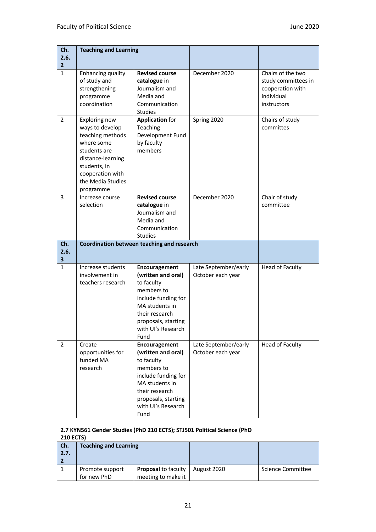| Ch.<br>2.6.<br>$\overline{2}$ | <b>Teaching and Learning</b>                                                                                                                                                  |                                                                                                                                                                                 |                                           |                                                                                           |
|-------------------------------|-------------------------------------------------------------------------------------------------------------------------------------------------------------------------------|---------------------------------------------------------------------------------------------------------------------------------------------------------------------------------|-------------------------------------------|-------------------------------------------------------------------------------------------|
| $\mathbf{1}$                  | Enhancing quality<br>of study and<br>strengthening<br>programme<br>coordination                                                                                               | <b>Revised course</b><br>catalogue in<br>Journalism and<br>Media and<br>Communication<br><b>Studies</b>                                                                         | December 2020                             | Chairs of the two<br>study committees in<br>cooperation with<br>individual<br>instructors |
| $\overline{2}$                | Exploring new<br>ways to develop<br>teaching methods<br>where some<br>students are<br>distance-learning<br>students, in<br>cooperation with<br>the Media Studies<br>programme | <b>Application for</b><br>Teaching<br>Development Fund<br>by faculty<br>members                                                                                                 | Spring 2020                               | Chairs of study<br>committes                                                              |
| 3                             | Increase course<br>selection                                                                                                                                                  | <b>Revised course</b><br>catalogue in<br>Journalism and<br>Media and<br>Communication<br><b>Studies</b>                                                                         | December 2020                             | Chair of study<br>committee                                                               |
| Ch.<br>2.6.<br>3              |                                                                                                                                                                               | Coordination between teaching and research                                                                                                                                      |                                           |                                                                                           |
| 1                             | Increase students<br>involvement in<br>teachers research                                                                                                                      | Encouragement<br>(written and oral)<br>to faculty<br>members to<br>include funding for<br>MA students in<br>their research<br>proposals, starting<br>with UI's Research<br>Fund | Late September/early<br>October each year | <b>Head of Faculty</b>                                                                    |
| $\overline{2}$                | Create<br>opportunities for<br>funded MA<br>research                                                                                                                          | Encouragement<br>(written and oral)<br>to faculty<br>members to<br>include funding for<br>MA students in<br>their research<br>proposals, starting<br>with UI's Research<br>Fund | Late September/early<br>October each year | <b>Head of Faculty</b>                                                                    |

#### **2.7 KYN561 Gender Studies (PhD 210 ECTS); STJ501 Political Science (PhD 210 ECTS)**

|      | <u>270 FC 191</u>            |                            |             |                   |  |  |
|------|------------------------------|----------------------------|-------------|-------------------|--|--|
| Ch.  | <b>Teaching and Learning</b> |                            |             |                   |  |  |
| 2.7. |                              |                            |             |                   |  |  |
|      |                              |                            |             |                   |  |  |
|      | Promote support              | <b>Proposal to faculty</b> | August 2020 | Science Committee |  |  |
|      | for new PhD                  | meeting to make it         |             |                   |  |  |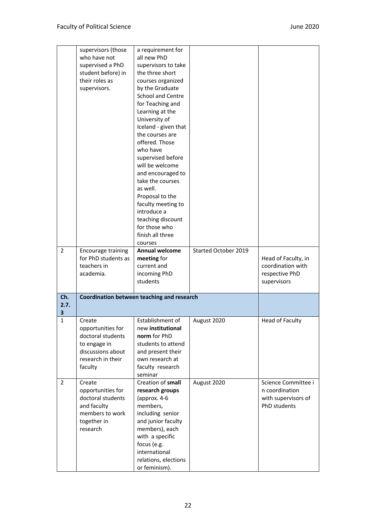|                  | supervisors (those<br>who have not<br>supervised a PhD<br>student before) in<br>their roles as<br>supervisors.        | a requirement for<br>all new PhD<br>supervisors to take<br>the three short<br>courses organized<br>by the Graduate<br>School and Centre<br>for Teaching and<br>Learning at the<br>University of<br>Iceland - given that<br>the courses are<br>offered. Those<br>who have<br>supervised before<br>will be welcome<br>and encouraged to<br>take the courses<br>as well.<br>Proposal to the<br>faculty meeting to<br>introduce a<br>teaching discount<br>for those who |                      |                                                                              |
|------------------|-----------------------------------------------------------------------------------------------------------------------|---------------------------------------------------------------------------------------------------------------------------------------------------------------------------------------------------------------------------------------------------------------------------------------------------------------------------------------------------------------------------------------------------------------------------------------------------------------------|----------------------|------------------------------------------------------------------------------|
|                  |                                                                                                                       | finish all three<br>courses                                                                                                                                                                                                                                                                                                                                                                                                                                         |                      |                                                                              |
| 2                | Encourage training<br>for PhD students as<br>teachers in<br>academia.                                                 | Annual welcome<br>meeting for<br>current and<br>incoming PhD<br>students                                                                                                                                                                                                                                                                                                                                                                                            | Started October 2019 | Head of Faculty, in<br>coordination with<br>respective PhD<br>supervisors    |
| Ch.<br>2.7.<br>3 |                                                                                                                       | Coordination between teaching and research                                                                                                                                                                                                                                                                                                                                                                                                                          |                      |                                                                              |
| $\mathbf{1}$     | Create<br>opportunities for<br>doctoral students<br>to engage in<br>discussions about<br>research in their<br>faculty | Establishment of<br>new institutional<br>norm for PhD<br>students to attend<br>and present their<br>own research at<br>faculty research<br>seminar                                                                                                                                                                                                                                                                                                                  | August 2020          | <b>Head of Faculty</b>                                                       |
| 2                | Create<br>opportunities for<br>doctoral students<br>and faculty<br>members to work<br>together in<br>research         | Creation of small<br>research groups<br>(approx. 4-6<br>members,<br>including senior<br>and junior faculty<br>members), each<br>with a specific<br>focus (e.g.<br>international<br>relations, elections<br>or feminism).                                                                                                                                                                                                                                            | August 2020          | Science Committee i<br>n coordination<br>with supervisors of<br>PhD students |